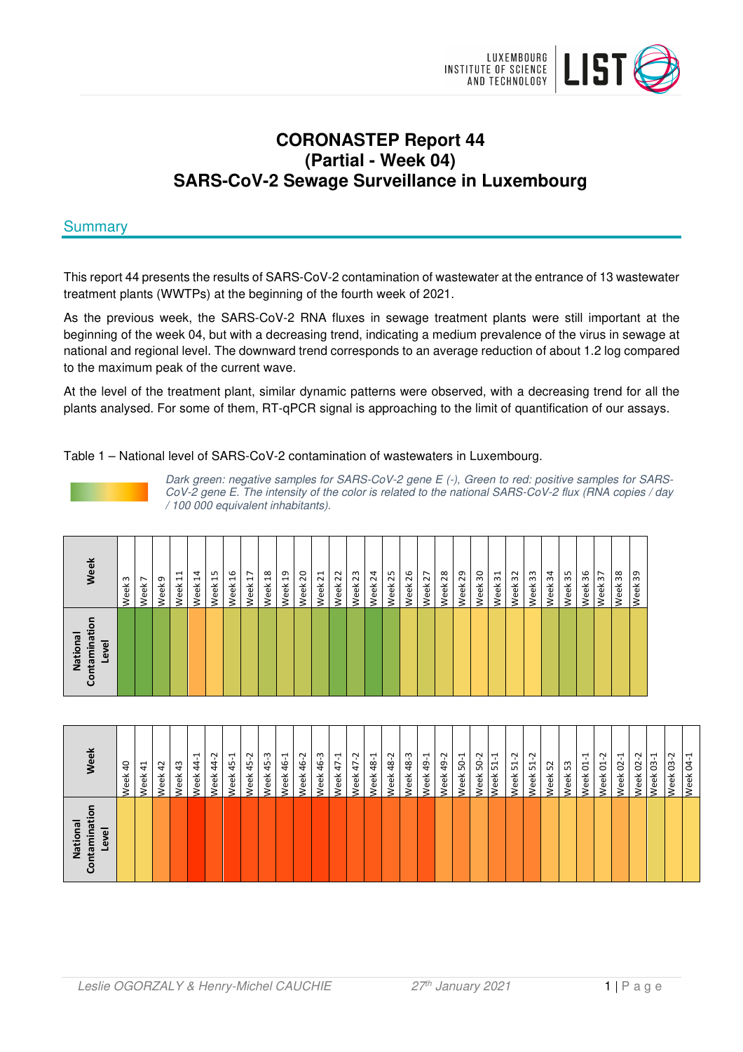

# **CORONASTEP Report 44 (Partial - Week 04) SARS-CoV-2 Sewage Surveillance in Luxembourg**

# **Summary**

This report 44 presents the results of SARS-CoV-2 contamination of wastewater at the entrance of 13 wastewater treatment plants (WWTPs) at the beginning of the fourth week of 2021.

As the previous week, the SARS-CoV-2 RNA fluxes in sewage treatment plants were still important at the beginning of the week 04, but with a decreasing trend, indicating a medium prevalence of the virus in sewage at national and regional level. The downward trend corresponds to an average reduction of about 1.2 log compared to the maximum peak of the current wave.

At the level of the treatment plant, similar dynamic patterns were observed, with a decreasing trend for all the plants analysed. For some of them, RT-qPCR signal is approaching to the limit of quantification of our assays.

Table 1 – National level of SARS-CoV-2 contamination of wastewaters in Luxembourg.

Dark green: negative samples for SARS-CoV-2 gene E (-), Green to red: positive samples for SARS-CoV-2 gene E. The intensity of the color is related to the national SARS-CoV-2 flux (RNA copies / day / 100 000 equivalent inhabitants).

| Week                                      | m<br>Week | $\overline{ }$<br>Week | ᡡ<br>Week | 급<br>Week | $\overline{1}$<br>Week | Week <sub>15</sub> | $\frac{6}{2}$<br>Week | $\overline{1}$<br>Week | $\frac{8}{18}$<br>Week | Week <sub>19</sub> | 20<br>Week | $\overline{z}$<br>Week | 22<br>Week | 23<br>Week: | $\overline{24}$<br>Week | 25<br>Week | 26<br>Week | 27<br>Week: | 28<br>Week | 29<br>Week | $\overline{30}$<br>Week | $\overline{31}$<br>Week <sub>3</sub> | 32<br>Week | 33<br>Week | 34<br>Week | 35<br>Week <sub>3</sub> | 36<br>Week | Week 37 | 86<br>Week | 39<br>eek<br>$\geq$ |
|-------------------------------------------|-----------|------------------------|-----------|-----------|------------------------|--------------------|-----------------------|------------------------|------------------------|--------------------|------------|------------------------|------------|-------------|-------------------------|------------|------------|-------------|------------|------------|-------------------------|--------------------------------------|------------|------------|------------|-------------------------|------------|---------|------------|---------------------|
| ō<br>ntaminati<br>National<br>Level<br>වි |           |                        |           |           |                        |                    |                       |                        |                        |                    |            |                        |            |             |                         |            |            |             |            |            |                         |                                      |            |            |            |                         |            |         |            |                     |

| National<br>tamina<br>Level | بوّ                         |
|-----------------------------|-----------------------------|
|                             | $\overline{a}$<br>Week      |
|                             | $\frac{4}{1}$<br>Week       |
|                             | 42<br>Week                  |
|                             | 43<br>Week                  |
|                             | ب<br>4<br><b>veek</b>       |
|                             | Ņ<br>4<br>/eek              |
|                             | ᠇<br>45<br>Week             |
|                             | Ņ<br>45<br>Week             |
|                             | ന<br>45<br>Week             |
|                             | ب<br>\$<br>Week             |
|                             | Ņ<br>\$<br>Week             |
|                             | 46-3<br>Week                |
|                             | $47 - 1$<br>Week            |
|                             | 47-2<br>Week                |
|                             | 48-1<br>Week                |
|                             | 48-2<br>Week                |
|                             | 48-3<br>Week                |
|                             | $49 - 1$<br>Week            |
|                             | 49-2<br>Veek                |
|                             | $50-1$<br>/eek              |
|                             | 50-2<br>/eek                |
|                             | $51 - 1$<br>Week            |
|                             | $\sim$<br>$\vec{5}$<br>Week |
|                             | $\sim$<br>$\vec{5}$<br>Week |
|                             | 52<br>Week                  |
|                             | 53<br>Week                  |
|                             | Week 01-1                   |
|                             | Week 01-2                   |
|                             | Week 02-1                   |
|                             | Week 02-2                   |
|                             | Week 03-1                   |
|                             | Week 03-2                   |
|                             | Week 04-1                   |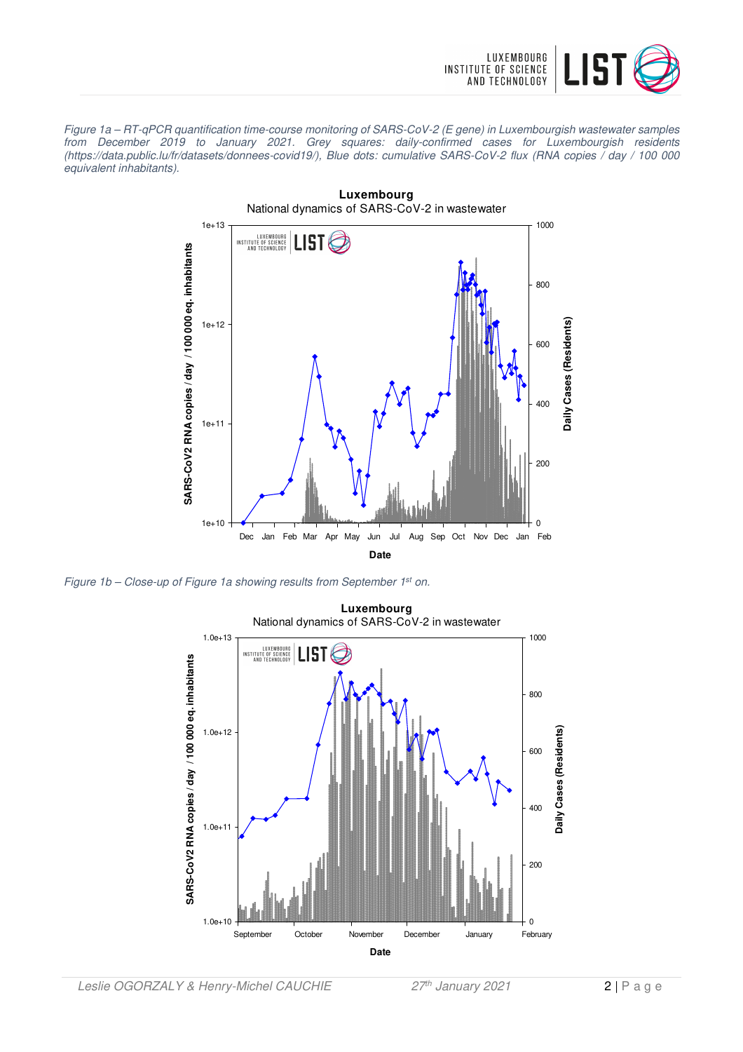

Figure 1a – RT-qPCR quantification time-course monitoring of SARS-CoV-2 (E gene) in Luxembourgish wastewater samples from December 2019 to January 2021. Grey squares: daily-confirmed cases for Luxembourgish residents (https://data.public.lu/fr/datasets/donnees-covid19/), Blue dots: cumulative SARS-CoV-2 flux (RNA copies / day / 100 000 equivalent inhabitants).



Figure 1b – Close-up of Figure 1a showing results from September 1<sup>st</sup> on.

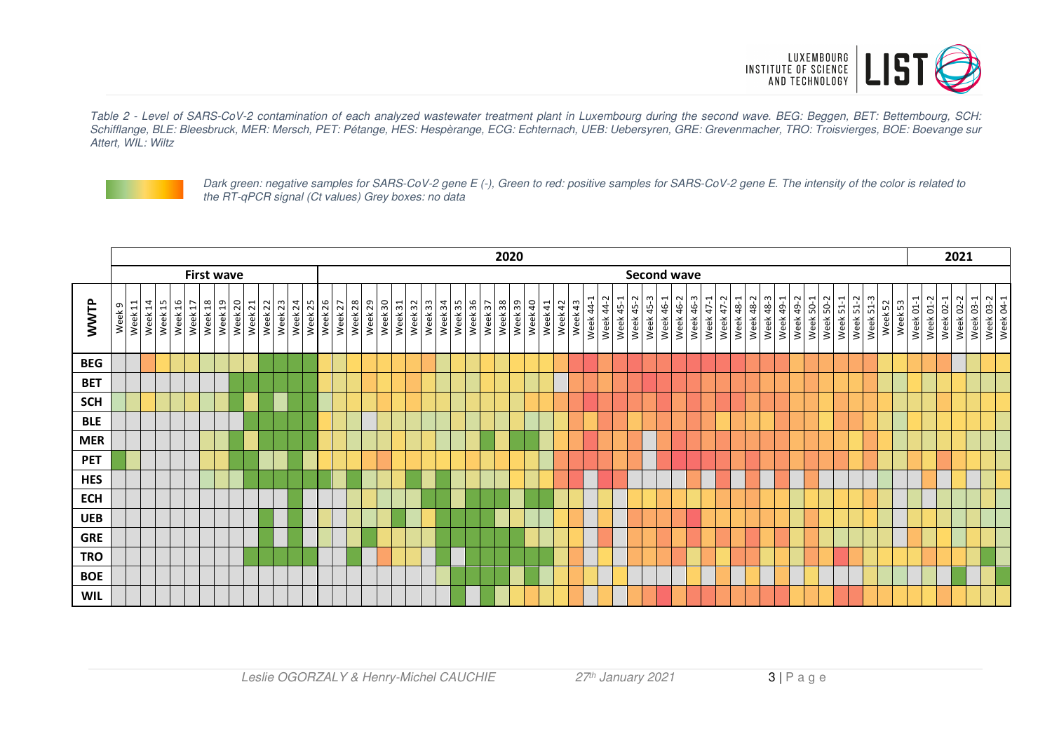

Table 2 - Level of SARS-CoV-2 contamination of each analyzed wastewater treatment plant in Luxembourg during the second wave. BEG: Beggen, BET: Bettembourg, SCH: Schifflange, BLE: Bleesbruck, MER: Mersch, PET: Pétange, HES: Hespèrange, ECG: Echternach, UEB: Uebersyren, GRE: Grevenmacher, TRO: Troisvierges, BOE: Boevange sur Attert, WIL: Wiltz



Dark green: negative samples for SARS-CoV-2 gene E (-), Green to red: positive samples for SARS-CoV-2 gene E. The intensity of the color is related to the RT-qPCR signal (Ct values) Grey boxes: no data

|            | 2020                                    |             |         |                  |                           |         |         |         |         |         |         |                    |         |         | 2021    |         |         |                    |         |         |         |                        |         |         |         |         |         |         |         |           |           |                  |           |                        |           |           |           |           |           |                  |                               |           |           |           |           |                  |           |                    |           |  |                        |           |           |                        |
|------------|-----------------------------------------|-------------|---------|------------------|---------------------------|---------|---------|---------|---------|---------|---------|--------------------|---------|---------|---------|---------|---------|--------------------|---------|---------|---------|------------------------|---------|---------|---------|---------|---------|---------|---------|-----------|-----------|------------------|-----------|------------------------|-----------|-----------|-----------|-----------|-----------|------------------|-------------------------------|-----------|-----------|-----------|-----------|------------------|-----------|--------------------|-----------|--|------------------------|-----------|-----------|------------------------|
|            | <b>Second wave</b><br><b>First wave</b> |             |         |                  |                           |         |         |         |         |         |         |                    |         |         |         |         |         |                    |         |         |         |                        |         |         |         |         |         |         |         |           |           |                  |           |                        |           |           |           |           |           |                  |                               |           |           |           |           |                  |           |                    |           |  |                        |           |           |                        |
| WWTP       | Week <sub>9</sub>                       | Ħ.<br>Week: | Week 14 | Week 15<br>Week: | Week 17<br>$\mathfrak{a}$ | Week 18 | Week 19 | Week 20 | Week 21 | Week 22 | Week 23 | Week 24<br>Week 25 | Week 26 | Week 27 | Week 28 | Week 29 | Week 30 | Week 32<br>Week 31 | Week 33 | Week 34 | Week 35 | 96<br>Week <sup></sup> | Week 37 | Week 38 | Week 39 | Week 40 | Week 41 | Week 42 | Week 43 | Week 44-1 | Week 44-2 | <b>Week 45-1</b> | Week 45-2 | Week 45-3<br>Week 46-1 | Week 46-2 | Week 46-3 | Week 47-1 | Week 47-2 | Week 48-1 | <b>Week 48-2</b> | <b>Week 48-3</b><br>Week 49-1 | Week 49-2 | Week 50-1 | Week 50-2 | Week 51-1 | <b>Week 51-2</b> | Week 51-3 | Week 52<br>Week 53 | Week 01-1 |  | Week 01-2<br>Week 02-1 | Week 02-2 | Week 03-1 | Week 03-2<br>Week 04-1 |
| <b>BEG</b> |                                         |             |         |                  |                           |         |         |         |         |         |         |                    |         |         |         |         |         |                    |         |         |         |                        |         |         |         |         |         |         |         |           |           |                  |           |                        |           |           |           |           |           |                  |                               |           |           |           |           |                  |           |                    |           |  |                        |           |           |                        |
| <b>BET</b> |                                         |             |         |                  |                           |         |         |         |         |         |         |                    |         |         |         |         |         |                    |         |         |         |                        |         |         |         |         |         |         |         |           |           |                  |           |                        |           |           |           |           |           |                  |                               |           |           |           |           |                  |           |                    |           |  |                        |           |           |                        |
| <b>SCH</b> |                                         |             |         |                  |                           |         |         |         |         |         |         |                    |         |         |         |         |         |                    |         |         |         |                        |         |         |         |         |         |         |         |           |           |                  |           |                        |           |           |           |           |           |                  |                               |           |           |           |           |                  |           |                    |           |  |                        |           |           |                        |
| <b>BLE</b> |                                         |             |         |                  |                           |         |         |         |         |         |         |                    |         |         |         |         |         |                    |         |         |         |                        |         |         |         |         |         |         |         |           |           |                  |           |                        |           |           |           |           |           |                  |                               |           |           |           |           |                  |           |                    |           |  |                        |           |           |                        |
| <b>MER</b> |                                         |             |         |                  |                           |         |         |         |         |         |         |                    |         |         |         |         |         |                    |         |         |         |                        |         |         |         |         |         |         |         |           |           |                  |           |                        |           |           |           |           |           |                  |                               |           |           |           |           |                  |           |                    |           |  |                        |           |           |                        |
| <b>PET</b> |                                         |             |         |                  |                           |         |         |         |         |         |         |                    |         |         |         |         |         |                    |         |         |         |                        |         |         |         |         |         |         |         |           |           |                  |           |                        |           |           |           |           |           |                  |                               |           |           |           |           |                  |           |                    |           |  |                        |           |           |                        |
| <b>HES</b> |                                         |             |         |                  |                           |         |         |         |         |         |         |                    |         |         |         |         |         |                    |         |         |         |                        |         |         |         |         |         |         |         |           |           |                  |           |                        |           |           |           |           |           |                  |                               |           |           |           |           |                  |           |                    |           |  |                        |           |           |                        |
| <b>ECH</b> |                                         |             |         |                  |                           |         |         |         |         |         |         |                    |         |         |         |         |         |                    |         |         |         |                        |         |         |         |         |         |         |         |           |           |                  |           |                        |           |           |           |           |           |                  |                               |           |           |           |           |                  |           |                    |           |  |                        |           |           |                        |
| <b>UEB</b> |                                         |             |         |                  |                           |         |         |         |         |         |         |                    |         |         |         |         |         |                    |         |         |         |                        |         |         |         |         |         |         |         |           |           |                  |           |                        |           |           |           |           |           |                  |                               |           |           |           |           |                  |           |                    |           |  |                        |           |           |                        |
| <b>GRE</b> |                                         |             |         |                  |                           |         |         |         |         |         |         |                    |         |         |         |         |         |                    |         |         |         |                        |         |         |         |         |         |         |         |           |           |                  |           |                        |           |           |           |           |           |                  |                               |           |           |           |           |                  |           |                    |           |  |                        |           |           |                        |
| <b>TRO</b> |                                         |             |         |                  |                           |         |         |         |         |         |         |                    |         |         |         |         |         |                    |         |         |         |                        |         |         |         |         |         |         |         |           |           |                  |           |                        |           |           |           |           |           |                  |                               |           |           |           |           |                  |           |                    |           |  |                        |           |           |                        |
| <b>BOE</b> |                                         |             |         |                  |                           |         |         |         |         |         |         |                    |         |         |         |         |         |                    |         |         |         |                        |         |         |         |         |         |         |         |           |           |                  |           |                        |           |           |           |           |           |                  |                               |           |           |           |           |                  |           |                    |           |  |                        |           |           |                        |
| <b>WIL</b> |                                         |             |         |                  |                           |         |         |         |         |         |         |                    |         |         |         |         |         |                    |         |         |         |                        |         |         |         |         |         |         |         |           |           |                  |           |                        |           |           |           |           |           |                  |                               |           |           |           |           |                  |           |                    |           |  |                        |           |           |                        |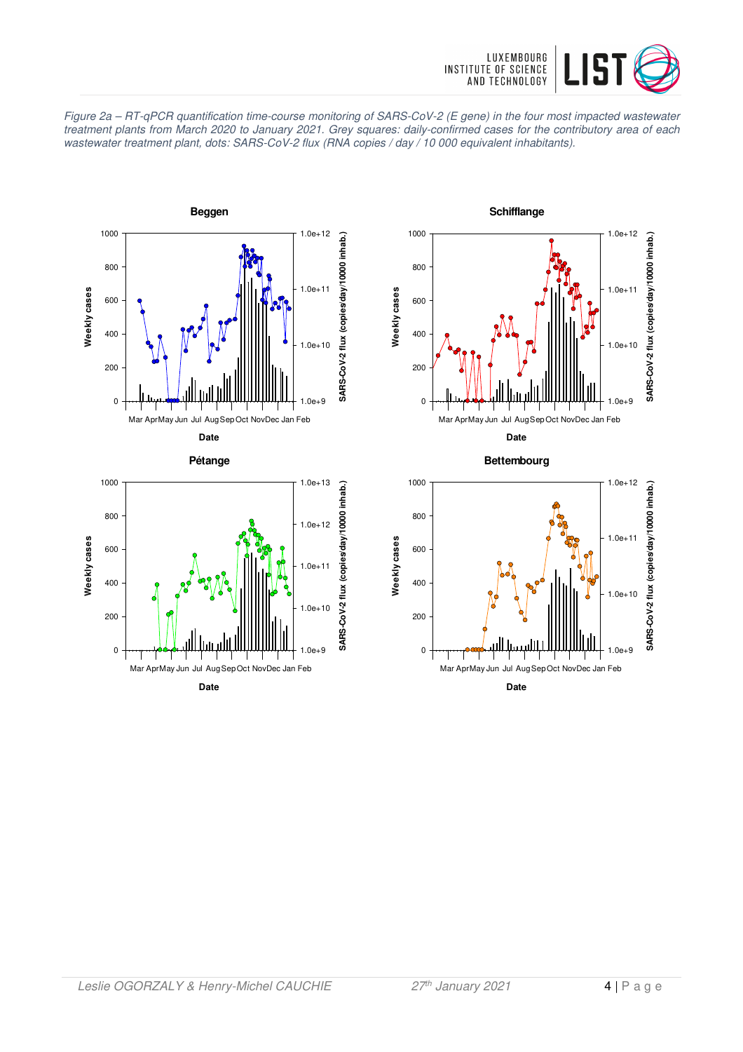





**Date**





**Bettembourg**



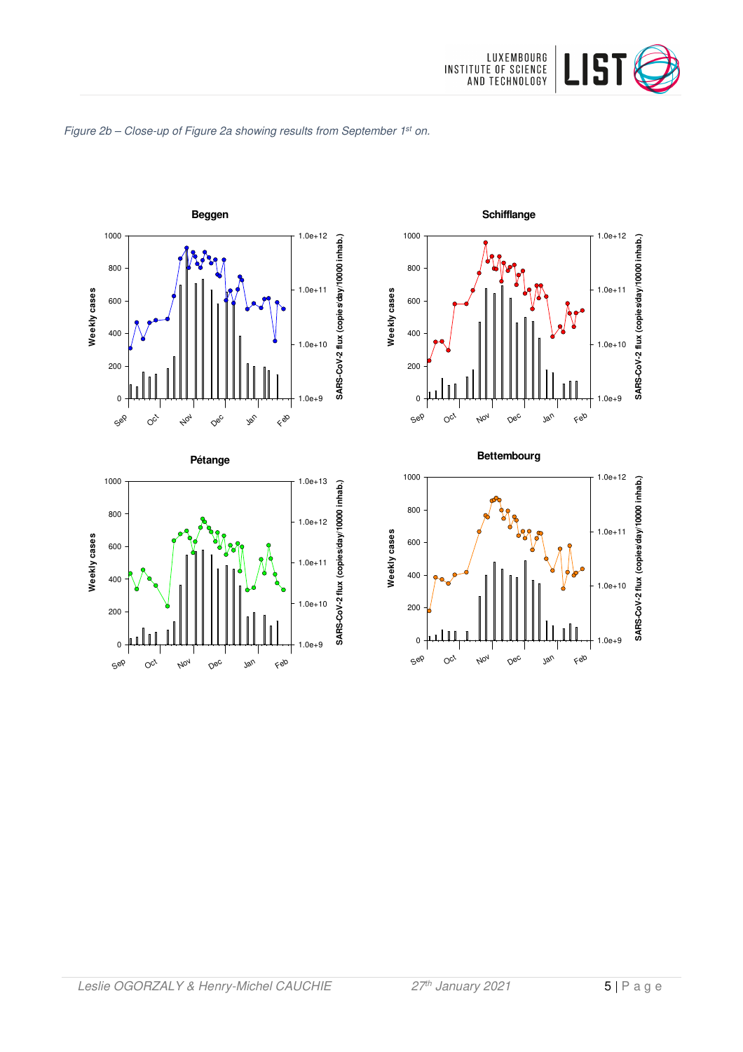







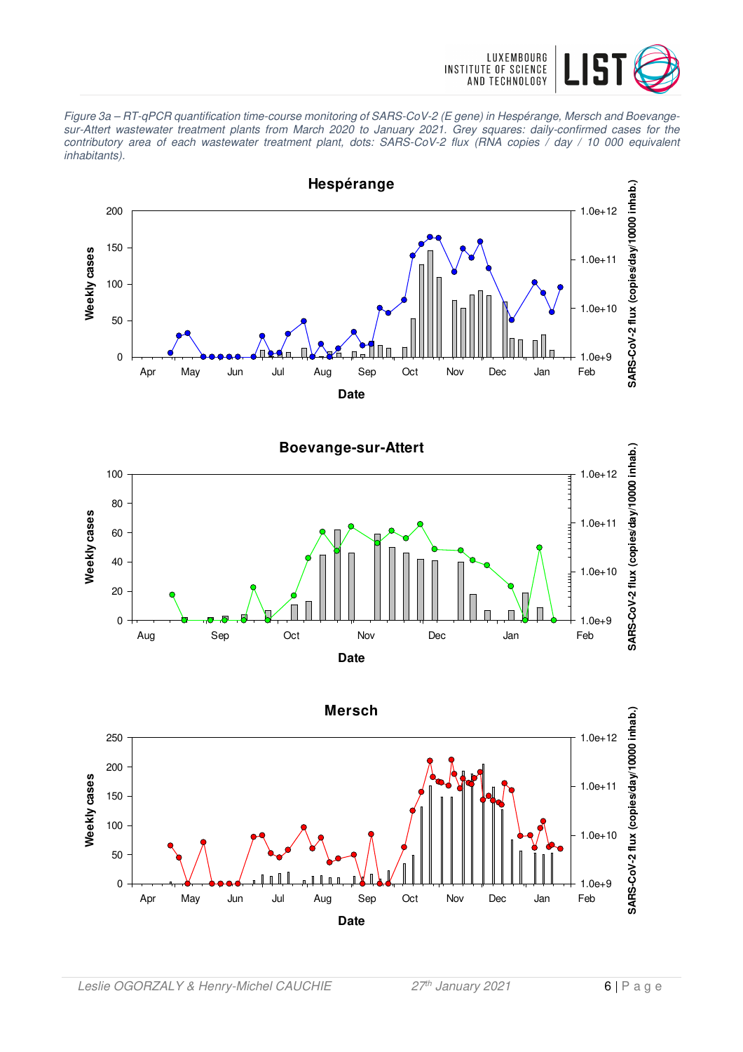

Figure 3a – RT-qPCR quantification time-course monitoring of SARS-CoV-2 (E gene) in Hespérange, Mersch and Boevangesur-Attert wastewater treatment plants from March 2020 to January 2021. Grey squares: daily-confirmed cases for the contributory area of each wastewater treatment plant, dots: SARS-CoV-2 flux (RNA copies / day / 10 000 equivalent inhabitants).





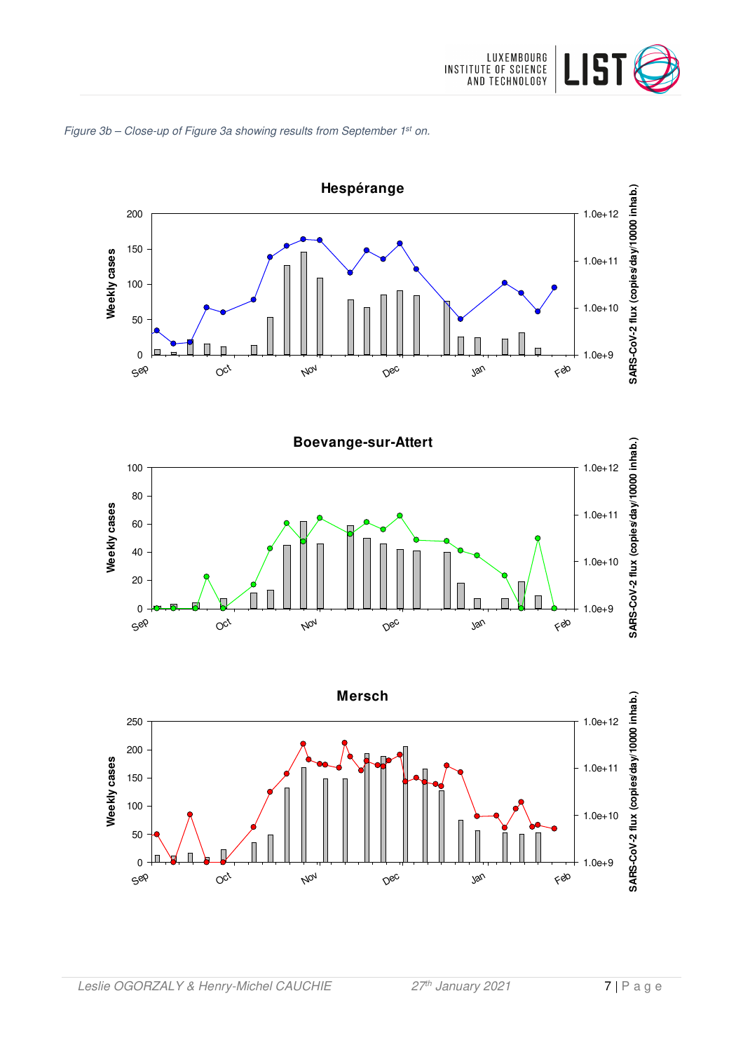

# Figure 3b – Close-up of Figure 3a showing results from September 1<sup>st</sup> on.





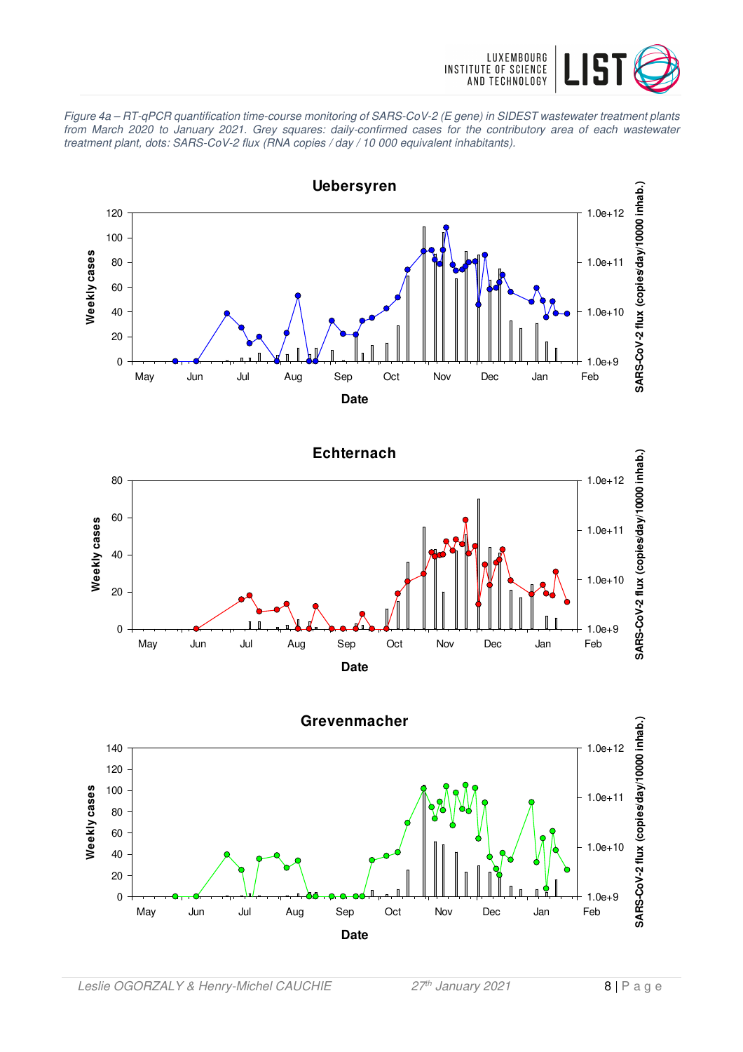

Figure 4a – RT-qPCR quantification time-course monitoring of SARS-CoV-2 (E gene) in SIDEST wastewater treatment plants from March 2020 to January 2021. Grey squares: daily-confirmed cases for the contributory area of each wastewater treatment plant, dots: SARS-CoV-2 flux (RNA copies / day / 10 000 equivalent inhabitants).





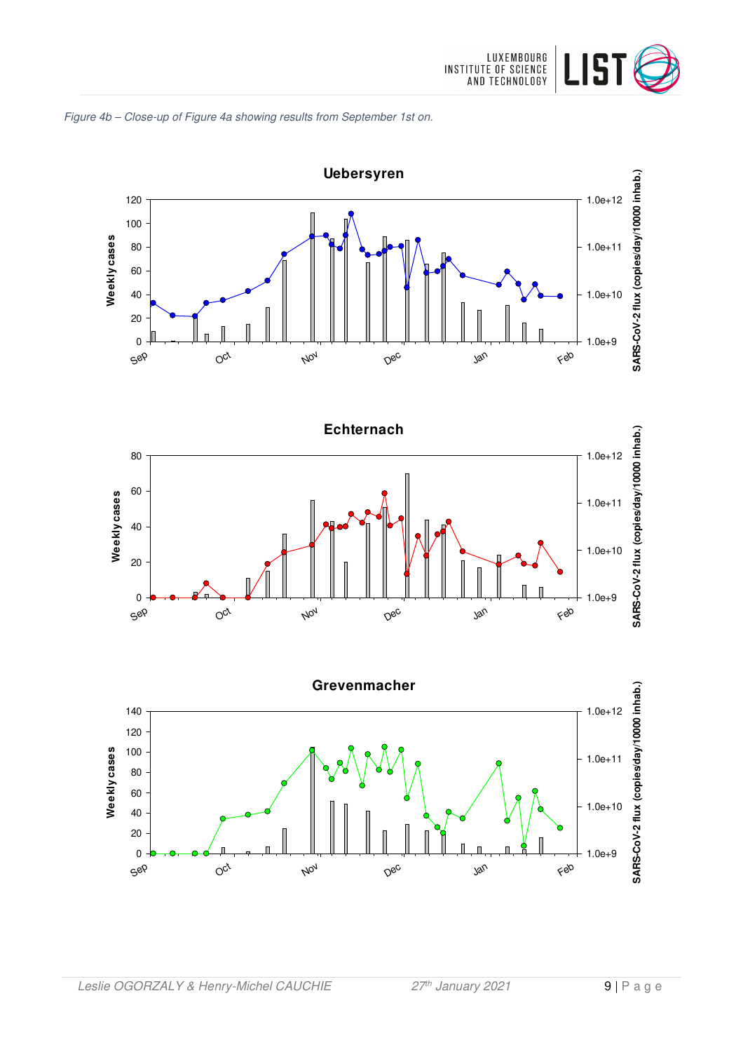







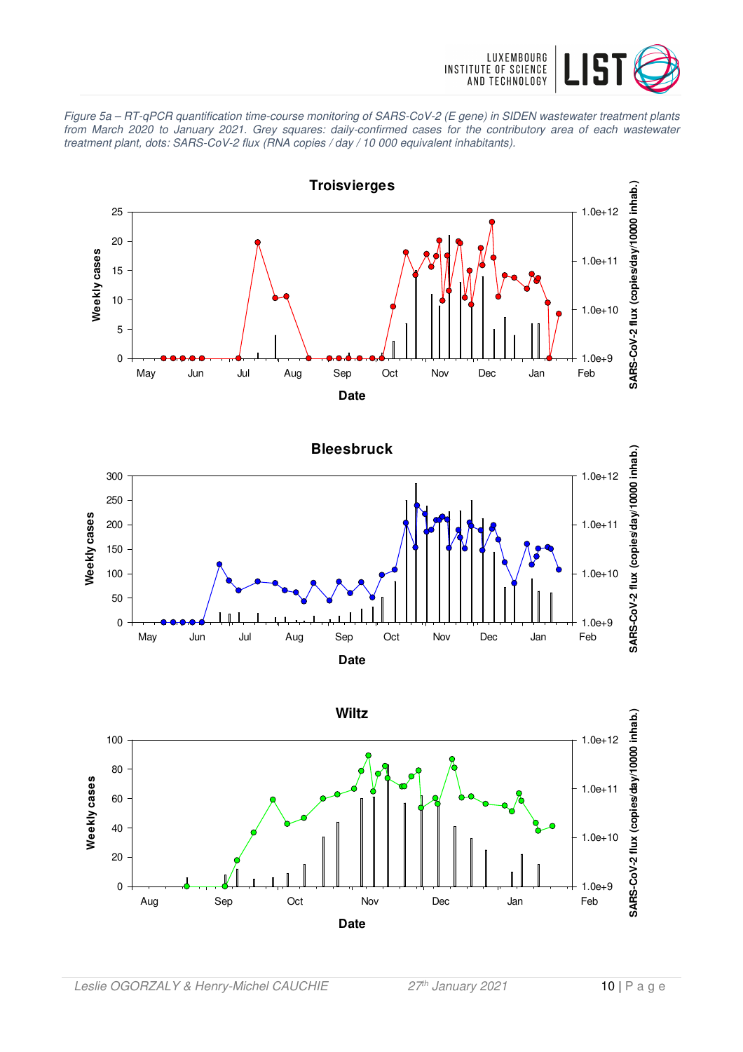

Figure 5a – RT-qPCR quantification time-course monitoring of SARS-CoV-2 (E gene) in SIDEN wastewater treatment plants from March 2020 to January 2021. Grey squares: daily-confirmed cases for the contributory area of each wastewater treatment plant, dots: SARS-CoV-2 flux (RNA copies / day / 10 000 equivalent inhabitants).



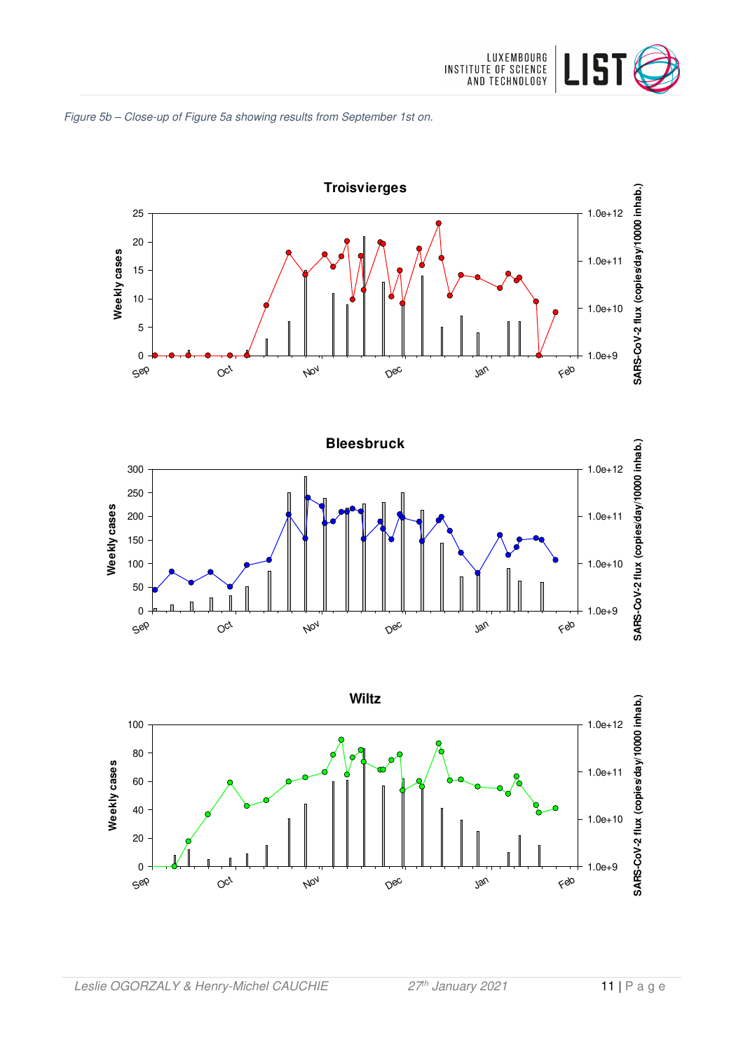





 $O_{C_V}$ 

Nov

Dec

Sep

Jan

Feb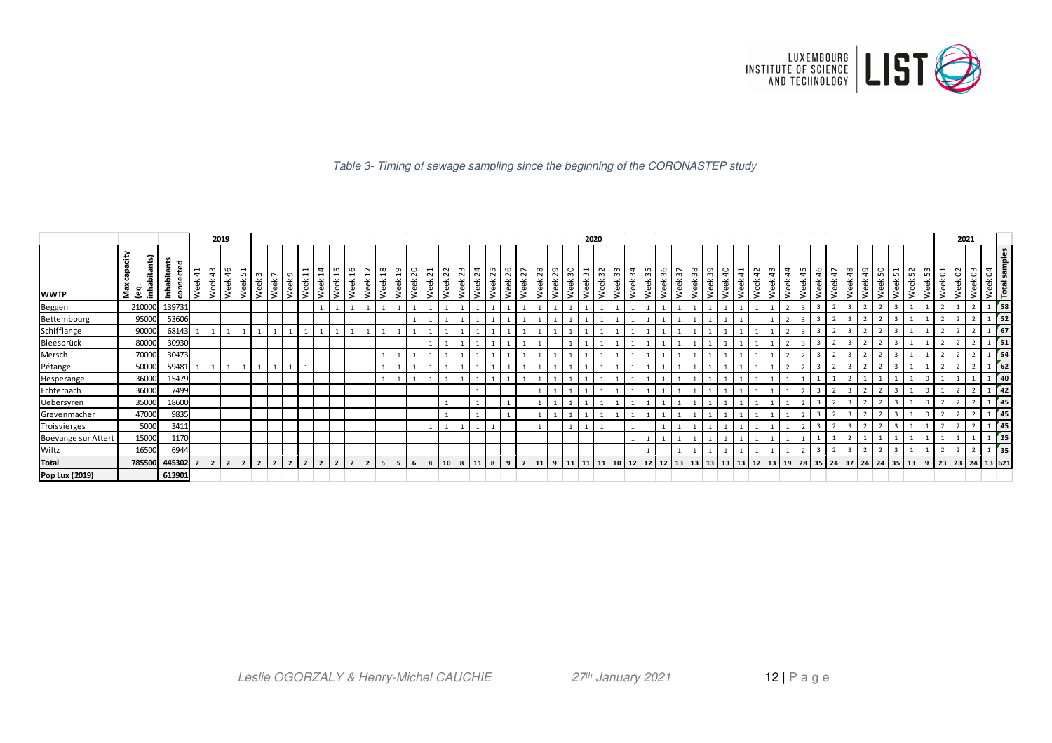

#### Table 3- Timing of sewage sampling since the beginning of the CORONASTEP study

|                     |                                      |                          |         | 2019             |                |             |                |                                     |        |                                                    |                  |                               |                                                |                |            |                                                |                         |      |              |                         |             |            |            |                       |            |            | 2020    |                        |         |            |            |         |              |         |         |                    |              |                            |            |                                          |            |        |                |            |                      |                      |                                  | 2021    |         |                                                     |
|---------------------|--------------------------------------|--------------------------|---------|------------------|----------------|-------------|----------------|-------------------------------------|--------|----------------------------------------------------|------------------|-------------------------------|------------------------------------------------|----------------|------------|------------------------------------------------|-------------------------|------|--------------|-------------------------|-------------|------------|------------|-----------------------|------------|------------|---------|------------------------|---------|------------|------------|---------|--------------|---------|---------|--------------------|--------------|----------------------------|------------|------------------------------------------|------------|--------|----------------|------------|----------------------|----------------------|----------------------------------|---------|---------|-----------------------------------------------------|
| <b>WWTP</b>         | Apede<br>(eq.<br>inhabitants)<br>Max | Inhabitants<br>connected | Week 41 | ∣ ന<br>4<br>Week | Week 46        | LO.<br>Week | m<br>Week      | $\overline{ }$<br>Week <sup>'</sup> | Week 9 | $\overline{\phantom{0}}$<br>$\overline{ }$<br>Week | $\sharp$<br>Week | LO.<br>$\overline{ }$<br>Week | 9T<br>$\sim$<br>$\overline{ }$<br>Week<br>Week | 18<br>Week     | ្អ<br>Week | $\overline{\phantom{0}}$<br>$\sim$<br>eek<br>3 | $\overline{21}$<br>Week | Week | 2 2<br>Week  | $\overline{24}$<br>Week | ∣ ഗി<br>eek | 26<br>Week | 27<br>Week | $\frac{8}{2}$<br>Week | 29<br>Week | 50<br>Week | Week 31 | Week 32<br> 33 <br>eek | Week 34 | 55<br>Week | 36<br>Week | Week 37 | 38<br>Week   | Week 39 | Week 40 | Week 41<br>Week 42 | 43<br>Week - | /eek 44<br>/eek 45<br>Week | 46<br>Week | $\overline{ }$<br>$\overline{4}$<br>Week | 48<br>Week | ආ<br>畜 | 50<br>Week     | 51<br>Week | $\sim$<br>LO.<br>eek | Week 53<br>5<br>Week | $\sim$<br>$\ddot{\circ}$<br>Week | Week 03 | $\beta$ | Week 04<br>Total samples                            |
| Beggen              | 210000                               | 139731                   |         |                  |                |             |                |                                     |        |                                                    |                  |                               |                                                |                |            |                                                |                         |      |              |                         |             |            |            |                       |            |            |         |                        |         |            |            |         |              |         |         |                    |              |                            |            |                                          |            |        | $\overline{ }$ |            |                      |                      |                                  |         |         | 58                                                  |
| Bettembourg         | 95000                                | 53606                    |         |                  |                |             |                |                                     |        |                                                    |                  |                               |                                                |                |            |                                                |                         |      |              |                         |             |            |            |                       |            |            |         |                        |         |            |            |         |              |         |         |                    |              |                            |            |                                          |            |        |                |            |                      |                      |                                  |         |         | $\begin{array}{ c c }\n\hline\n1 & 52\n\end{array}$ |
| Schifflange         | 90000                                | 68143                    |         |                  |                |             |                |                                     |        |                                                    |                  |                               |                                                |                |            |                                                |                         |      |              |                         |             |            |            |                       |            |            |         |                        |         |            |            |         |              |         |         |                    |              |                            |            |                                          |            |        |                |            |                      |                      |                                  |         |         | $\begin{array}{ c c }\n\hline\n1 & 67\n\end{array}$ |
| Bleesbrück          | 80000                                | 30930                    |         |                  |                |             |                |                                     |        |                                                    |                  |                               |                                                |                |            |                                                |                         |      |              |                         |             |            |            |                       |            |            |         |                        |         |            |            |         |              |         |         |                    |              |                            |            |                                          |            |        |                |            |                      |                      |                                  |         |         | $1\overline{51}$                                    |
| Mersch              | 70000                                | 30473                    |         |                  |                |             |                |                                     |        |                                                    |                  |                               |                                                |                |            |                                                |                         |      |              |                         |             |            |            |                       |            |            |         |                        |         |            |            |         |              |         |         |                    |              |                            |            |                                          |            |        |                |            |                      |                      |                                  |         |         | 54                                                  |
| Pétange             | 50000                                | 59481                    |         |                  |                |             |                |                                     |        |                                                    |                  |                               |                                                |                |            |                                                |                         |      |              |                         |             |            |            |                       |            |            |         |                        |         |            |            |         |              |         |         |                    |              |                            |            |                                          |            |        |                |            |                      |                      |                                  |         |         | 62                                                  |
| Hesperange          | 36000                                | 15479                    |         |                  |                |             |                |                                     |        |                                                    |                  |                               |                                                |                |            |                                                |                         |      |              |                         |             |            |            |                       |            |            |         |                        |         |            |            |         |              |         |         |                    |              |                            |            |                                          |            |        |                |            |                      |                      |                                  |         |         | 40                                                  |
| Echternach          | 36000                                | 7499                     |         |                  |                |             |                |                                     |        |                                                    |                  |                               |                                                |                |            |                                                |                         |      |              |                         |             |            |            |                       |            |            |         |                        |         |            |            |         |              |         |         |                    |              |                            |            |                                          |            |        |                |            |                      | $\mathbf{0}$         |                                  |         |         | 42                                                  |
| Uebersyren          | 35000                                | 18600                    |         |                  |                |             |                |                                     |        |                                                    |                  |                               |                                                |                |            |                                                |                         |      |              |                         |             |            |            |                       |            |            |         |                        |         |            |            |         |              |         |         |                    |              |                            |            |                                          |            |        |                |            |                      |                      |                                  |         |         | 45                                                  |
| Grevenmacher        | 47000                                | 9835                     |         |                  |                |             |                |                                     |        |                                                    |                  |                               |                                                |                |            |                                                |                         |      |              |                         |             |            |            |                       |            |            |         |                        |         |            |            |         |              |         |         | $\mathbf{1}$       |              |                            |            |                                          |            |        |                |            |                      | $\mathbf 0$          |                                  |         |         | 45                                                  |
| Troisvierges        | 5000                                 | 3411                     |         |                  |                |             |                |                                     |        |                                                    |                  |                               |                                                |                |            |                                                |                         |      |              |                         |             |            |            |                       |            |            |         |                        |         |            |            |         |              |         |         |                    |              |                            |            |                                          |            |        |                |            |                      |                      |                                  |         |         | 45                                                  |
| Boevange sur Attert | 15000                                | 1170                     |         |                  |                |             |                |                                     |        |                                                    |                  |                               |                                                |                |            |                                                |                         |      |              |                         |             |            |            |                       |            |            |         |                        |         |            |            |         |              |         |         | $\mathbf{1}$       |              |                            |            |                                          |            |        |                |            |                      |                      |                                  |         |         | $\frac{1}{25}$                                      |
| Wiltz               | 16500                                | 6944                     |         |                  |                |             |                |                                     |        |                                                    |                  |                               |                                                |                |            |                                                |                         |      |              |                         |             |            |            |                       |            |            |         |                        |         |            |            |         |              |         |         |                    |              |                            |            |                                          |            |        |                |            |                      |                      |                                  |         |         |                                                     |
| Total               |                                      | 785500 445302 2          |         | $\overline{2}$   | $\overline{2}$ |             | $\overline{2}$ |                                     |        |                                                    |                  |                               |                                                | 5 <sup>5</sup> |            |                                                | 8                       |      | $\mathbf{8}$ |                         |             |            |            |                       |            |            |         |                        | 12      | 12         | 12         | 13      | $13 \mid 13$ |         | 13      | $13 \mid 12$       | 13           | 19 28                      |            | 35 24                                    | 37         | 24     | 24             | 35 13      |                      | 9                    | 23 23 24                         |         |         | 13 621                                              |
| Pop Lux (2019)      |                                      | 613901                   |         |                  |                |             |                |                                     |        |                                                    |                  |                               |                                                |                |            |                                                |                         |      |              |                         |             |            |            |                       |            |            |         |                        |         |            |            |         |              |         |         |                    |              |                            |            |                                          |            |        |                |            |                      |                      |                                  |         |         |                                                     |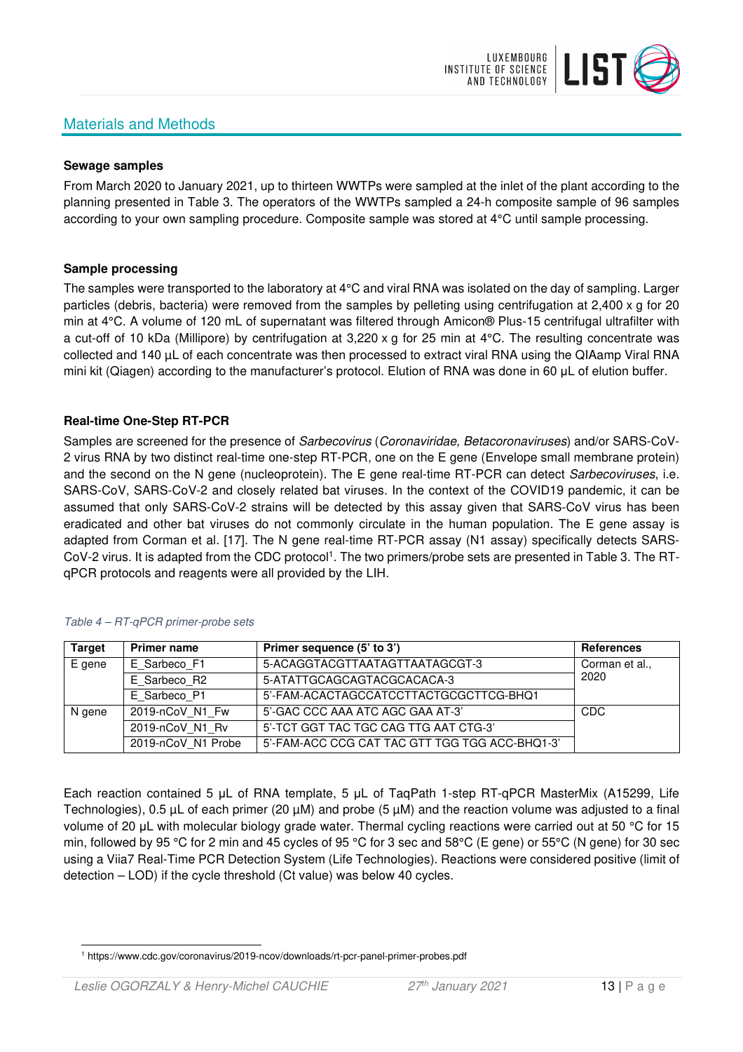# Materials and Methods



#### **Sewage samples**

From March 2020 to January 2021, up to thirteen WWTPs were sampled at the inlet of the plant according to the planning presented in Table 3. The operators of the WWTPs sampled a 24-h composite sample of 96 samples according to your own sampling procedure. Composite sample was stored at 4°C until sample processing.

#### **Sample processing**

The samples were transported to the laboratory at 4°C and viral RNA was isolated on the day of sampling. Larger particles (debris, bacteria) were removed from the samples by pelleting using centrifugation at 2,400 x g for 20 min at 4°C. A volume of 120 mL of supernatant was filtered through Amicon® Plus-15 centrifugal ultrafilter with a cut-off of 10 kDa (Millipore) by centrifugation at 3,220 x g for 25 min at 4°C. The resulting concentrate was collected and 140 µL of each concentrate was then processed to extract viral RNA using the QIAamp Viral RNA mini kit (Qiagen) according to the manufacturer's protocol. Elution of RNA was done in 60 μL of elution buffer.

#### **Real-time One-Step RT-PCR**

Samples are screened for the presence of *Sarbecovirus (Coronaviridae, Betacoronaviruses*) and/or SARS-CoV-2 virus RNA by two distinct real-time one-step RT-PCR, one on the E gene (Envelope small membrane protein) and the second on the N gene (nucleoprotein). The E gene real-time RT-PCR can detect Sarbecoviruses, i.e. SARS-CoV, SARS-CoV-2 and closely related bat viruses. In the context of the COVID19 pandemic, it can be assumed that only SARS-CoV-2 strains will be detected by this assay given that SARS-CoV virus has been eradicated and other bat viruses do not commonly circulate in the human population. The E gene assay is adapted from Corman et al. [17]. The N gene real-time RT-PCR assay (N1 assay) specifically detects SARS-CoV-2 virus. It is adapted from the CDC protocol<sup>1</sup>. The two primers/probe sets are presented in Table 3. The RTqPCR protocols and reagents were all provided by the LIH.

| <b>Target</b> | <b>Primer name</b> | Primer sequence (5' to 3')                     | <b>References</b> |
|---------------|--------------------|------------------------------------------------|-------------------|
| E gene        | E Sarbeco F1       | 5-ACAGGTACGTTAATAGTTAATAGCGT-3                 | Corman et al.,    |
|               | E Sarbeco R2       | 5-ATATTGCAGCAGTACGCACACA-3                     | 2020              |
|               | E Sarbeco P1       | 5'-FAM-ACACTAGCCATCCTTACTGCGCTTCG-BHQ1         |                   |
| N gene        | 2019-nCoV N1 Fw    | 5'-GAC CCC AAA ATC AGC GAA AT-3'               | CDC               |
|               | 2019-nCoV N1 Rv    | 5'-TCT GGT TAC TGC CAG TTG AAT CTG-3'          |                   |
|               | 2019-nCoV N1 Probe | 5'-FAM-ACC CCG CAT TAC GTT TGG TGG ACC-BHQ1-3' |                   |

#### Table 4 – RT-qPCR primer-probe sets

Each reaction contained 5 μL of RNA template, 5 μL of TaqPath 1-step RT-qPCR MasterMix (A15299, Life Technologies), 0.5 µL of each primer (20 µM) and probe (5 µM) and the reaction volume was adjusted to a final volume of 20 μL with molecular biology grade water. Thermal cycling reactions were carried out at 50 °C for 15 min, followed by 95 °C for 2 min and 45 cycles of 95 °C for 3 sec and 58°C (E gene) or 55°C (N gene) for 30 sec using a Viia7 Real-Time PCR Detection System (Life Technologies). Reactions were considered positive (limit of detection – LOD) if the cycle threshold (Ct value) was below 40 cycles.

<sup>1</sup> https://www.cdc.gov/coronavirus/2019-ncov/downloads/rt-pcr-panel-primer-probes.pdf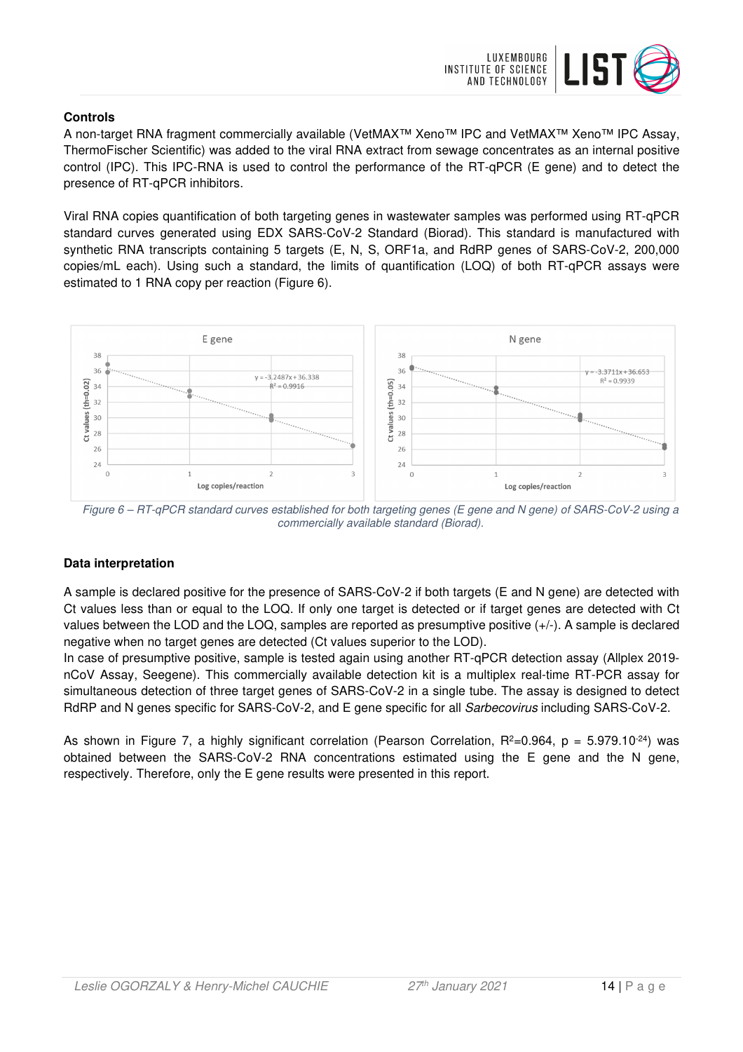

### **Controls**

A non-target RNA fragment commercially available (VetMAX™ Xeno™ IPC and VetMAX™ Xeno™ IPC Assay, ThermoFischer Scientific) was added to the viral RNA extract from sewage concentrates as an internal positive control (IPC). This IPC-RNA is used to control the performance of the RT-qPCR (E gene) and to detect the presence of RT-qPCR inhibitors.

Viral RNA copies quantification of both targeting genes in wastewater samples was performed using RT-qPCR standard curves generated using EDX SARS-CoV-2 Standard (Biorad). This standard is manufactured with synthetic RNA transcripts containing 5 targets (E, N, S, ORF1a, and RdRP genes of SARS-CoV-2, 200,000 copies/mL each). Using such a standard, the limits of quantification (LOQ) of both RT-qPCR assays were estimated to 1 RNA copy per reaction (Figure 6).



Figure 6 – RT-qPCR standard curves established for both targeting genes (E gene and N gene) of SARS-CoV-2 using a commercially available standard (Biorad).

# **Data interpretation**

A sample is declared positive for the presence of SARS-CoV-2 if both targets (E and N gene) are detected with Ct values less than or equal to the LOQ. If only one target is detected or if target genes are detected with Ct values between the LOD and the LOQ, samples are reported as presumptive positive (+/-). A sample is declared negative when no target genes are detected (Ct values superior to the LOD).

In case of presumptive positive, sample is tested again using another RT-qPCR detection assay (Allplex 2019 nCoV Assay, Seegene). This commercially available detection kit is a multiplex real-time RT-PCR assay for simultaneous detection of three target genes of SARS-CoV-2 in a single tube. The assay is designed to detect RdRP and N genes specific for SARS-CoV-2, and E gene specific for all Sarbecovirus including SARS-CoV-2.

As shown in Figure 7, a highly significant correlation (Pearson Correlation,  $R^2=0.964$ ,  $p = 5.979.10^{-24}$ ) was obtained between the SARS-CoV-2 RNA concentrations estimated using the E gene and the N gene, respectively. Therefore, only the E gene results were presented in this report.